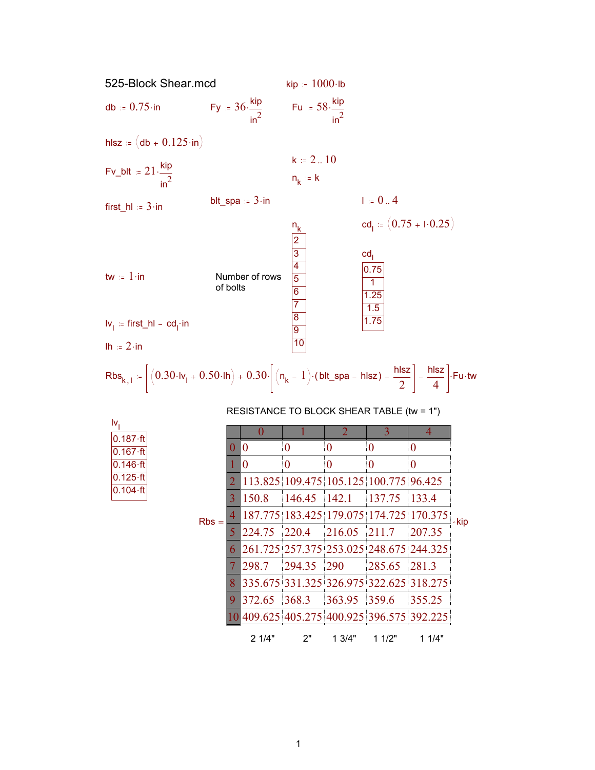

| RESISTANCE TO BLOCK SHEAR TABLE (tw = 1") |  |  |
|-------------------------------------------|--|--|
|-------------------------------------------|--|--|

| I۷               |  |
|------------------|--|
| $0.187 - ft$     |  |
| $0.167 \cdot ft$ |  |
| $0.146 - ft$     |  |
| $0.125 \cdot ft$ |  |
| $0.104 - ft$     |  |

|         |    |        |                                            | $\overline{2}$   | 3                | 4                |      |
|---------|----|--------|--------------------------------------------|------------------|------------------|------------------|------|
|         | 0  | 0      | 0                                          | 0                | 0                | 0                |      |
|         |    | 0      | 0                                          | $\boldsymbol{0}$ | $\boldsymbol{0}$ | $\boldsymbol{0}$ |      |
|         | 2  |        | 113.825 109.475 105.125 100.775 96.425     |                  |                  |                  |      |
|         | 3  | 150.8  | 146.45                                     | 142.1            | 137.75           | 133.4            |      |
| $Rbs =$ | 4  |        | 187.775 183.425 179.075 174.725 170.375    |                  |                  |                  | ∘kip |
|         | 5  | 224.75 | 220.4 216.05                               |                  | 211.7            | 207.35           |      |
|         | 6  |        | 261.725 257.375 253.025 248.675 244.325    |                  |                  |                  |      |
|         | 7  | 298.7  | 294.35                                     | <b>290</b>       | 285.65 281.3     |                  |      |
|         | 8  |        | 335.675 331.325 326.975 322.625 318.275    |                  |                  |                  |      |
|         | 9. | 372.65 | $368.3$ $363.95$                           |                  | 359.6            | 355.25           |      |
|         |    |        | 10 409.625 405.275 400.925 396.575 392.225 |                  |                  |                  |      |
|         |    | 2 1/4" | 2"                                         | 13/4"            | 11/2"            | 11/4"            |      |